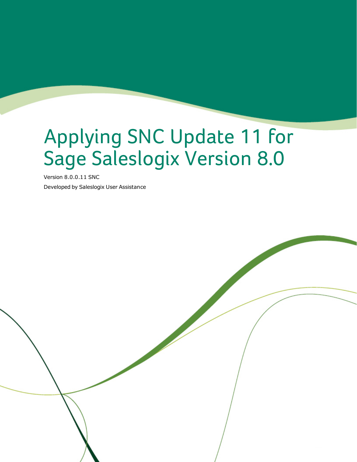# Applying SNC Update 11 for Sage Saleslogix Version 8.0

Version 8.0.0.11 SNC

Developed by Saleslogix User Assistance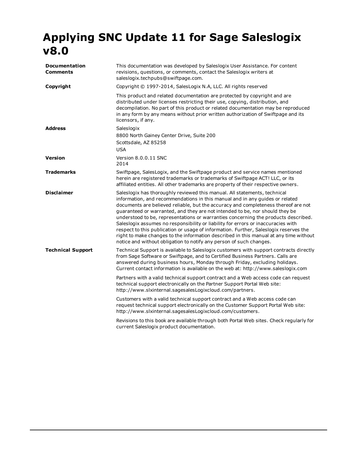# **Applying SNC Update 11 for Sage Saleslogix v8.0**

| <b>Documentation</b><br>Comments | This documentation was developed by Saleslogix User Assistance. For content<br>revisions, questions, or comments, contact the Saleslogix writers at<br>saleslogix.techpubs@swiftpage.com.                                                                                                                                                                                                                                                                                                                                                                                                                                                                                                                                                                           |  |
|----------------------------------|---------------------------------------------------------------------------------------------------------------------------------------------------------------------------------------------------------------------------------------------------------------------------------------------------------------------------------------------------------------------------------------------------------------------------------------------------------------------------------------------------------------------------------------------------------------------------------------------------------------------------------------------------------------------------------------------------------------------------------------------------------------------|--|
| Copyright                        | Copyright © 1997-2014, SalesLogix N.A, LLC. All rights reserved                                                                                                                                                                                                                                                                                                                                                                                                                                                                                                                                                                                                                                                                                                     |  |
|                                  | This product and related documentation are protected by copyright and are<br>distributed under licenses restricting their use, copying, distribution, and<br>decompilation. No part of this product or related documentation may be reproduced<br>in any form by any means without prior written authorization of Swiftpage and its<br>licensors, if any.                                                                                                                                                                                                                                                                                                                                                                                                           |  |
| <b>Address</b>                   | Saleslogix<br>8800 North Gainey Center Drive, Suite 200<br>Scottsdale, AZ 85258<br><b>USA</b>                                                                                                                                                                                                                                                                                                                                                                                                                                                                                                                                                                                                                                                                       |  |
| <b>Version</b>                   | Version 8.0.0.11 SNC<br>2014                                                                                                                                                                                                                                                                                                                                                                                                                                                                                                                                                                                                                                                                                                                                        |  |
| <b>Trademarks</b>                | Swiftpage, SalesLogix, and the Swiftpage product and service names mentioned<br>herein are registered trademarks or trademarks of Swiftpage ACT! LLC, or its<br>affiliated entities. All other trademarks are property of their respective owners.                                                                                                                                                                                                                                                                                                                                                                                                                                                                                                                  |  |
| <b>Disclaimer</b>                | Saleslogix has thoroughly reviewed this manual. All statements, technical<br>information, and recommendations in this manual and in any quides or related<br>documents are believed reliable, but the accuracy and completeness thereof are not<br>quaranteed or warranted, and they are not intended to be, nor should they be<br>understood to be, representations or warranties concerning the products described.<br>Saleslogix assumes no responsibility or liability for errors or inaccuracies with<br>respect to this publication or usage of information. Further, Saleslogix reserves the<br>right to make changes to the information described in this manual at any time without<br>notice and without obligation to notify any person of such changes. |  |
| <b>Technical Support</b>         | Technical Support is available to Saleslogix customers with support contracts directly<br>from Sage Software or Swiftpage, and to Certified Business Partners. Calls are<br>answered during business hours, Monday through Friday, excluding holidays.<br>Current contact information is available on the web at: http://www.saleslogix.com                                                                                                                                                                                                                                                                                                                                                                                                                         |  |
|                                  | Partners with a valid technical support contract and a Web access code can request<br>technical support electronically on the Partner Support Portal Web site:<br>http://www.slxinternal.sagesalesLogixcloud.com/partners.                                                                                                                                                                                                                                                                                                                                                                                                                                                                                                                                          |  |
|                                  | Customers with a valid technical support contract and a Web access code can<br>request technical support electronically on the Customer Support Portal Web site:<br>http://www.slxinternal.sagesalesLogixcloud.com/customers.                                                                                                                                                                                                                                                                                                                                                                                                                                                                                                                                       |  |
|                                  | Revisions to this book are available through both Portal Web sites. Check regularly for<br>current Saleslogix product documentation.                                                                                                                                                                                                                                                                                                                                                                                                                                                                                                                                                                                                                                |  |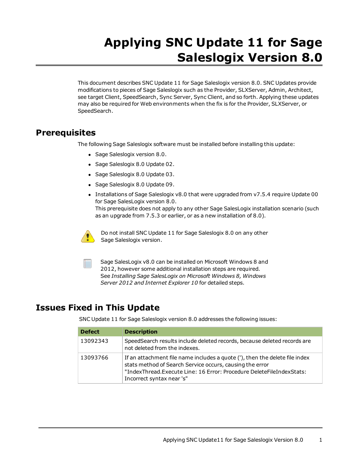# **Applying SNC Update 11 for Sage Saleslogix Version 8.0**

This document describes SNC Update 11 for Sage Saleslogix version 8.0. SNC Updates provide modifications to pieces of Sage Saleslogix such as the Provider, SLXServer, Admin, Architect, see target Client, SpeedSearch, Sync Server, Sync Client, and so forth. Applying these updates may also be required for Web environments when the fix is for the Provider, SLXServer, or SpeedSearch.

## **Prerequisites**

The following Sage Saleslogix software must be installed before installing this update:

- Sage Saleslogix version 8.0.
- Sage Saleslogix 8.0 Update 02.
- Sage Saleslogix 8.0 Update 03.
- Sage Saleslogix 8.0 Update 09.
- Installations of Sage Saleslogix v8.0 that were upgraded from v7.5.4 require Update 00 for Sage SalesLogix version 8.0. This prerequisite does not apply to any other Sage SalesLogix installation scenario (such as an upgrade from 7.5.3 or earlier, or as a new installation of 8.0).



Do not install SNC Update 11 for Sage Saleslogix 8.0 on any other Sage Saleslogix version.

Sage SalesLogix v8.0 can be installed on Microsoft Windows 8 and 2012, however some additional installation steps are required. See *Installing Sage SalesLogix on Microsoft Windows 8, Windows Server 2012 and Internet Explorer 10* for detailed steps.

# **Issues Fixed in This Update**

SNC Update 11 for Sage Saleslogix version 8.0 addresses the following issues:

| <b>Defect</b> | <b>Description</b>                                                                                                                                                                                                                           |
|---------------|----------------------------------------------------------------------------------------------------------------------------------------------------------------------------------------------------------------------------------------------|
| 13092343      | SpeedSearch results include deleted records, because deleted records are<br>not deleted from the indexes.                                                                                                                                    |
| 13093766      | If an attachment file name includes a quote ('), then the delete file index<br>stats method of Search Service occurs, causing the error<br>"IndexThread.Execute Line: 16 Error: Procedure DeleteFileIndexStats:<br>Incorrect syntax near 's" |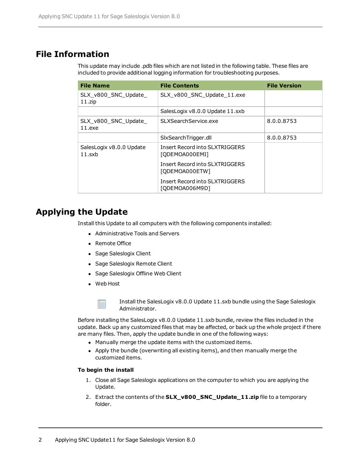## **File Information**

This update may include .pdb files which are not listed in the following table. These files are included to provide additional logging information for troubleshooting purposes.

| <b>File Name</b>                   | <b>File Contents</b>                                    | <b>File Version</b> |
|------------------------------------|---------------------------------------------------------|---------------------|
| SLX_v800_SNC_Update_<br>$11$ .zip  | SLX v800 SNC Update 11.exe                              |                     |
|                                    | SalesLogix v8.0.0 Update 11.sxb                         |                     |
| SLX_v800_SNC_Update_<br>$11.$ exe  | SLXSearchService.exe                                    | 8.0.0.8753          |
|                                    | SIxSearchTrigger.dll                                    | 8.0.0.8753          |
| SalesLogix v8.0.0 Update<br>11.sxb | Insert Record into SLXTRIGGERS<br>[ODEMOA000EMI]        |                     |
|                                    | Insert Record into SLXTRIGGERS<br>[ODEMOA000ETW]        |                     |
|                                    | <b>Insert Record into SLXTRIGGERS</b><br>[ODEMOA006M9D] |                     |

# **Applying the Update**

Install this Update to all computers with the following components installed:

- Administrative Tools and Servers
- Remote Office
- Sage Saleslogix Client
- Sage Saleslogix Remote Client
- Sage Saleslogix Offline Web Client
- Web Host



Install the SalesLogix v8.0.0 Update 11.sxb bundle using the Sage Saleslogix Administrator.

Before installing the SalesLogix v8.0.0 Update 11.sxb bundle, review the files included in the update. Back up any customized files that may be affected, or back up the whole project if there are many files. Then, apply the update bundle in one of the following ways:

- Manually merge the update items with the customized items.
- Apply the bundle (overwriting all existing items), and then manually merge the customized items.

#### **To begin the install**

- 1. Close all Sage Saleslogix applications on the computer to which you are applying the Update.
- 2. Extract the contents of the **SLX\_v800\_SNC\_Update\_11.zip** file to a temporary folder.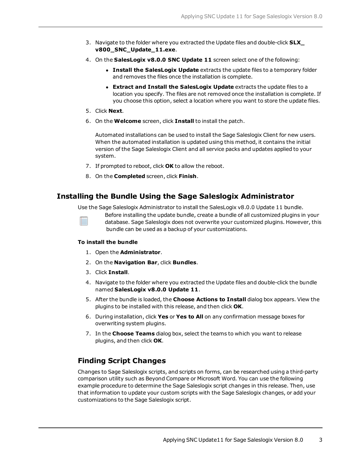- 3. Navigate to the folder where you extracted the Update files and double-click **SLX\_ v800\_SNC\_Update\_11.exe**.
- 4. On the **SalesLogix v8.0.0 SNC Update 11** screen select one of the following:
	- **Install the SalesLogix Update** extracts the update files to a temporary folder and removes the files once the installation is complete.
	- <sup>l</sup> **Extract and Install the SalesLogix Update** extracts the update files to a location you specify. The files are not removed once the installation is complete. If you choose this option, select a location where you want to store the update files.
- 5. Click **Next**.
- 6. On the **Welcome** screen, click **Install** to install the patch.

Automated installations can be used to install the Sage Saleslogix Client for new users. When the automated installation is updated using this method, it contains the initial version of the Sage Saleslogix Client and all service packs and updates applied to your system.

- 7. If prompted to reboot, click **OK** to allow the reboot.
- 8. On the **Completed** screen, click **Finish**.

#### **Installing the Bundle Using the Sage Saleslogix Administrator**

Use the Sage Saleslogix Administrator to install the SalesLogix v8.0.0 Update 11 bundle.

Before installing the update bundle, create a bundle of all customized plugins in your database. Sage Saleslogix does not overwrite your customized plugins. However, this bundle can be used as a backup of your customizations.

#### **To install the bundle**

- 1. Open the **Administrator**.
- 2. On the **Navigation Bar**, click **Bundles**.
- 3. Click **Install**.
- 4. Navigate to the folder where you extracted the Update files and double-click the bundle named **SalesLogix v8.0.0 Update 11**.
- 5. After the bundle is loaded, the **Choose Actions to Install** dialog box appears. View the plugins to be installed with this release, and then click **OK**.
- 6. During installation, click **Yes** or **Yes to All** on any confirmation message boxes for overwriting system plugins.
- 7. In the **Choose Teams** dialog box, select the teams to which you want to release plugins, and then click **OK**.

### **Finding Script Changes**

Changes to Sage Saleslogix scripts, and scripts on forms, can be researched using a third-party comparison utility such as Beyond Compare or Microsoft Word. You can use the following example procedure to determine the Sage Saleslogix script changes in this release. Then, use that information to update your custom scripts with the Sage Saleslogix changes, or add your customizations to the Sage Saleslogix script.